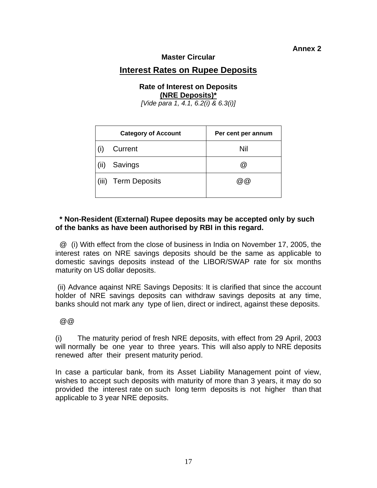## **Annex 2**

### **Master Circular**

# **Interest Rates on Rupee Deposits**

#### **Rate of Interest on Deposits (NRE Deposits)\***

*[Vide para 1, 4.1, 6.2(i) & 6.3(i)]* 

| <b>Category of Account</b> |                     | Per cent per annum |
|----------------------------|---------------------|--------------------|
|                            | Current             | Nil                |
| (11)                       | Savings             | ω)                 |
|                            | (iii) Term Deposits | (a) (a)            |

## **\* Non-Resident (External) Rupee deposits may be accepted only by such of the banks as have been authorised by RBI in this regard.**

 @ (i) With effect from the close of business in India on November 17, 2005, the interest rates on NRE savings deposits should be the same as applicable to domestic savings deposits instead of the LIBOR/SWAP rate for six months maturity on US dollar deposits.

 (ii) Advance aqainst NRE Savings Deposits: It is clarified that since the account holder of NRE savings deposits can withdraw savings deposits at any time, banks should not mark any type of lien, direct or indirect, against these deposits.

 $@$ 

(i) The maturity period of fresh NRE deposits, with effect from 29 April, 2003 will normally be one year to three years. This will also apply to NRE deposits renewed after their present maturity period.

In case a particular bank, from its Asset Liability Management point of view, wishes to accept such deposits with maturity of more than 3 years, it may do so provided the interest rate on such long term deposits is not higher than that applicable to 3 year NRE deposits.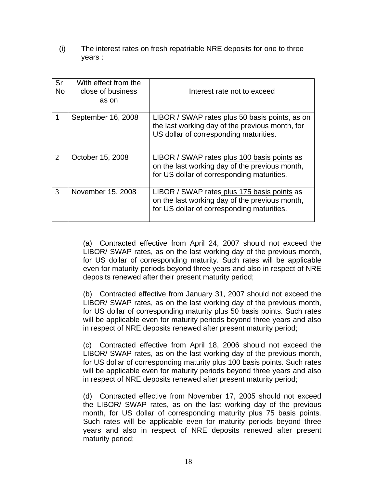(i) The interest rates on fresh repatriable NRE deposits for one to three years :

| Sr<br><b>No</b> | With effect from the<br>close of business<br>as on | Interest rate not to exceed                                                                                                                 |
|-----------------|----------------------------------------------------|---------------------------------------------------------------------------------------------------------------------------------------------|
| 1               | September 16, 2008                                 | LIBOR / SWAP rates plus 50 basis points, as on<br>the last working day of the previous month, for<br>US dollar of corresponding maturities. |
| $\overline{2}$  | October 15, 2008                                   | LIBOR / SWAP rates plus 100 basis points as<br>on the last working day of the previous month,<br>for US dollar of corresponding maturities. |
| 3               | November 15, 2008                                  | LIBOR / SWAP rates plus 175 basis points as<br>on the last working day of the previous month,<br>for US dollar of corresponding maturities. |

(a) Contracted effective from April 24, 2007 should not exceed the LIBOR/ SWAP rates, as on the last working day of the previous month, for US dollar of corresponding maturity. Such rates will be applicable even for maturity periods beyond three years and also in respect of NRE deposits renewed after their present maturity period;

(b) Contracted effective from January 31, 2007 should not exceed the LIBOR/ SWAP rates, as on the last working day of the previous month, for US dollar of corresponding maturity plus 50 basis points. Such rates will be applicable even for maturity periods beyond three years and also in respect of NRE deposits renewed after present maturity period;

(c) Contracted effective from April 18, 2006 should not exceed the LIBOR/ SWAP rates, as on the last working day of the previous month, for US dollar of corresponding maturity plus 100 basis points. Such rates will be applicable even for maturity periods beyond three years and also in respect of NRE deposits renewed after present maturity period;

(d) Contracted effective from November 17, 2005 should not exceed the LIBOR/ SWAP rates, as on the last working day of the previous month, for US dollar of corresponding maturity plus 75 basis points. Such rates will be applicable even for maturity periods beyond three years and also in respect of NRE deposits renewed after present maturity period;